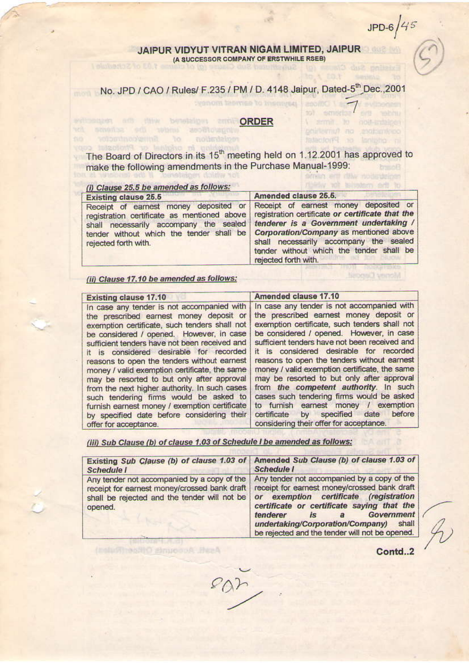$JPD-6/45$ 

 $\prime$ 

I smit to not trainer

printeriun no englaniero

Interdori<sup>ci</sup> so lanisho ol

Wilstern evil to

**Hillifor** 

## JAIPUR VIDYUT VITRAN NIGAM LIMITED, JAIPUR (A SUCCESSOR COMPANY OF ERSTWHILE RSEB) **Telutionazio En Y**

No. JPD / CAO / Rules/ F.235 / PM / D. 4148 Jaipur, Dated-5<sup>th</sup> Dec., 2001

## consent add the betelsiget and **ORDER** wh smokes once be sonone and

The Board of Directors in its 15<sup>th</sup> meeting held on 1.12.2001 has approved to make the following amendments in the Purchase Manual-1999: **brace** smilin ent dilly nodisdelper

notisdatoen

## (i) Clause 25.5 be amended as follows:

of firmsycontractor

priginal or Photostat copy

| <b>Existing clause 25.5</b> | Amended clause 25.5.                                                                                                                                                                                                                                                                                                                                                                                                                                            |
|-----------------------------|-----------------------------------------------------------------------------------------------------------------------------------------------------------------------------------------------------------------------------------------------------------------------------------------------------------------------------------------------------------------------------------------------------------------------------------------------------------------|
| rejected forth with.        | Receipt of earnest money deposited or Receipt of earnest money deposited or<br>registration certificate as mentioned above registration certificate or certificate that the<br>shall necessarily accompany the sealed tenderer is a Government undertaking /<br>tender without which the tender shall be   Corporation/Company as mentioned above<br>shall necessarily accompany the sealed<br>tender without which the tender shall be<br>rejected forth with. |

(ii) Clause 17.10 be amended as follows:

Assistance Accepts Officent Mark

| <b>Existing clause 17.10</b>                                                                                                                                                                                                                                                                                                                                                                                                                                                                                                                                                                                                                    | Amended clause 17.10                                                                                                                                                                                                                                                                                                                                                                                                                                                                                                                                                                                                                                |
|-------------------------------------------------------------------------------------------------------------------------------------------------------------------------------------------------------------------------------------------------------------------------------------------------------------------------------------------------------------------------------------------------------------------------------------------------------------------------------------------------------------------------------------------------------------------------------------------------------------------------------------------------|-----------------------------------------------------------------------------------------------------------------------------------------------------------------------------------------------------------------------------------------------------------------------------------------------------------------------------------------------------------------------------------------------------------------------------------------------------------------------------------------------------------------------------------------------------------------------------------------------------------------------------------------------------|
| In case any tender is not accompanied with<br>the prescribed earnest money deposit or<br>exemption certificate, such tenders shall not<br>be considered / opened. However, in case<br>sufficient tenders have not been received and<br>it is considered desirable for recorded<br>reasons to open the tenders without earnest<br>money / valid exemption certificate, the same<br>may be resorted to but only after approval<br>from the next higher authority. In such cases<br>such tendering firms would be asked to<br>furnish earnest money / exemption certificate<br>by specified date before considering their<br>offer for acceptance. | In case any tender is not accompanied with<br>the prescribed earnest money deposit or<br>exemption certificate, such tenders shall not<br>be considered / opened. However, in case<br>sufficient tenders have not been received and<br>it is considered desirable for recorded<br>reasons to open the tenders without earnest<br>money / valid exemption certificate, the same<br>may be resorted to but only after approval<br>from the competent authority. In such<br>cases such tendering firms would be asked<br>to furnish earnest money / exemption<br>before<br>date<br>certificate by specified<br>considering their offer for acceptance. |

(iii) Sub Clause (b) of clause 1.03 of Schedule I be amended as follows:

| <b>Schedule I</b> | Existing Sub Clause (b) of clause 1.03 of Amended Sub Clause (b) of clause 1.03 of<br><b>Schedule I</b>                                                                                                                                                                                                                                                                                                                                                         |
|-------------------|-----------------------------------------------------------------------------------------------------------------------------------------------------------------------------------------------------------------------------------------------------------------------------------------------------------------------------------------------------------------------------------------------------------------------------------------------------------------|
| opened.           | Any tender not accompanied by a copy of the   Any tender not accompanied by a copy of the<br>receipt for earnest money/crossed bank draft   receipt for earnest money/crossed bank draft<br>shall be rejected and the tender will not be or exemption certificate (registration<br>certificate or certificate saying that the<br>Government<br>tenderer<br>is.<br>a<br>undertaking/Corporation/Company) shall<br>be rejected and the tender will not be opened. |

Contd..2